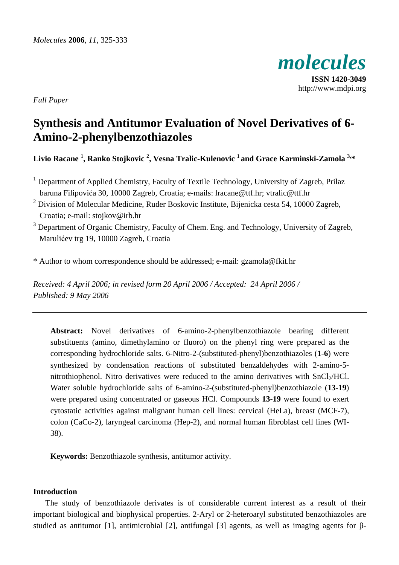

http://www.mdpi.org

*Full Paper* 

# **Synthesis and Antitumor Evaluation of Novel Derivatives of 6- Amino-2-phenylbenzothiazoles**

**Livio Racane <sup>1</sup> , Ranko Stojkovic <sup>2</sup> , Vesna Tralic-Kulenovic 1 and Grace Karminski-Zamola 3,\*** 

<sup>1</sup> Department of Applied Chemistry, Faculty of Textile Technology, University of Zagreb, Prilaz baruna Filipovića 30, 10000 Zagreb, Croatia; e-mails: lracane@ttf.hr; vtralic@ttf.hr

<sup>2</sup> Division of Molecular Medicine, Ruder Boskovic Institute, Bijenicka cesta 54, 10000 Zagreb, Croatia; e-mail: stojkov@irb.hr

<sup>3</sup> Department of Organic Chemistry, Faculty of Chem. Eng. and Technology, University of Zagreb, Marulićev trg 19, 10000 Zagreb, Croatia

\* Author to whom correspondence should be addressed; e-mail: gzamola@fkit.hr

*Received: 4 April 2006; in revised form 20 April 2006 / Accepted: 24 April 2006 / Published: 9 May 2006* 

**Abstract:** Novel derivatives of 6-amino-2-phenylbenzothiazole bearing different substituents (amino, dimethylamino or fluoro) on the phenyl ring were prepared as the corresponding hydrochloride salts. 6-Nitro-2-(substituted-phenyl)benzothiazoles (**1-6**) were synthesized by condensation reactions of substituted benzaldehydes with 2-amino-5 nitrothiophenol. Nitro derivatives were reduced to the amino derivatives with  $SnCl<sub>2</sub>/HCl$ . Water soluble hydrochloride salts of 6-amino-2-(substituted-phenyl)benzothiazole (**13**-**19**) were prepared using concentrated or gaseous HCl. Compounds **13**-**19** were found to exert cytostatic activities against malignant human cell lines: cervical (HeLa), breast (MCF-7), colon (CaCo-2), laryngeal carcinoma (Hep-2), and normal human fibroblast cell lines (WI-38).

**Keywords:** Benzothiazole synthesis, antitumor activity.

## **Introduction**

The study of benzothiazole derivates is of considerable current interest as a result of their important biological and biophysical properties. 2-Aryl or 2-heteroaryl substituted benzothiazoles are studied as antitumor [1], antimicrobial [2], antifungal [3] agents, as well as imaging agents for β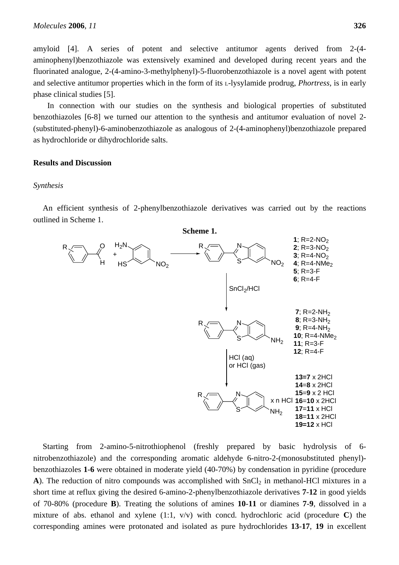amyloid [4]. A series of potent and selective antitumor agents derived from 2-(4 aminophenyl)benzothiazole was extensively examined and developed during recent years and the fluorinated analogue, 2-(4-amino-3-methylphenyl)-5-fluorobenzothiazole is a novel agent with potent and selective antitumor properties which in the form of its L-lysylamide prodrug, *Phortress,* is in early phase clinical studies [5].

 In connection with our studies on the synthesis and biological properties of substituted benzothiazoles [6-8] we turned our attention to the synthesis and antitumor evaluation of novel 2- (substituted-phenyl)-6-aminobenzothiazole as analogous of 2-(4-aminophenyl)benzothiazole prepared as hydrochloride or dihydrochloride salts.

### **Results and Discussion**

#### *Synthesis*

An efficient synthesis of 2-phenylbenzothiazole derivatives was carried out by the reactions outlined in Scheme 1.



Starting from 2-amino-5-nitrothiophenol (freshly prepared by basic hydrolysis of 6 nitrobenzothiazole) and the corresponding aromatic aldehyde 6-nitro-2-(monosubstituted phenyl) benzothiazoles **1**-**6** were obtained in moderate yield (40-70%) by condensation in pyridine (procedure  $\bf{A}$ ). The reduction of nitro compounds was accomplished with  $SnCl<sub>2</sub>$  in methanol-HCl mixtures in a short time at reflux giving the desired 6-amino-2-phenylbenzothiazole derivatives **7**-**12** in good yields of 70-80% (procedure **B**). Treating the solutions of amines **10**-**11** or diamines **7**-**9**, dissolved in a mixture of abs. ethanol and xylene (1:1, v/v) with concd. hydrochloric acid (procedure **C**) the corresponding amines were protonated and isolated as pure hydrochlorides **13**-**17**, **19** in excellent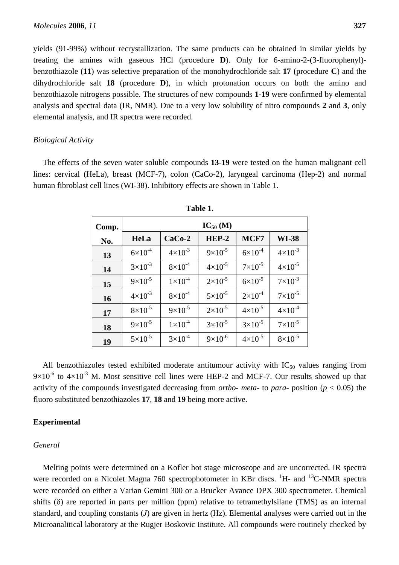yields (91-99%) without recrystallization. The same products can be obtained in similar yields by treating the amines with gaseous HCl (procedure **D**). Only for 6-amino-2-(3-fluorophenyl) benzothiazole (**11**) was selective preparation of the monohydrochloride salt **17** (procedure **C**) and the dihydrochloride salt **18** (procedure **D**), in which protonation occurs on both the amino and benzothiazole nitrogens possible. The structures of new compounds **1**-**19** were confirmed by elemental analysis and spectral data (IR, NMR). Due to a very low solubility of nitro compounds **2** and **3**, only elemental analysis, and IR spectra were recorded.

### *Biological Activity*

The effects of the seven water soluble compounds **13**-**19** were tested on the human malignant cell lines: cervical (HeLa), breast (MCF-7), colon (CaCo-2), laryngeal carcinoma (Hep-2) and normal human fibroblast cell lines (WI-38). Inhibitory effects are shown in Table 1.

| Comp. | $IC_{50}$ (M)      |                    |                    |                    |                    |
|-------|--------------------|--------------------|--------------------|--------------------|--------------------|
| No.   | <b>HeLa</b>        | $CaCo-2$           | $HEP-2$            | MCF7               | <b>WI-38</b>       |
| 13    | $6 \times 10^{-4}$ | $4 \times 10^{-3}$ | $9\times10^{-5}$   | $6 \times 10^{-4}$ | $4 \times 10^{-3}$ |
| 14    | $3\times10^{-3}$   | $8\times10^{-4}$   | $4 \times 10^{-5}$ | $7\times10^{-5}$   | $4 \times 10^{-5}$ |
| 15    | $9 \times 10^{-5}$ | $1 \times 10^{-4}$ | $2 \times 10^{-5}$ | $6 \times 10^{-5}$ | $7 \times 10^{-3}$ |
| 16    | $4 \times 10^{-3}$ | $8\times10^{-4}$   | $5 \times 10^{-5}$ | $2 \times 10^{-4}$ | $7\times10^{-5}$   |
| 17    | $8\times10^{-5}$   | $9 \times 10^{-5}$ | $2 \times 10^{-5}$ | $4 \times 10^{-5}$ | $4 \times 10^{-4}$ |
| 18    | $9\times10^{-5}$   | $1\times10^{-4}$   | $3 \times 10^{-5}$ | $3\times10^{-5}$   | $7\times10^{-5}$   |
| 19    | $5 \times 10^{-5}$ | $3\times10^{-4}$   | $9 \times 10^{-6}$ | $4 \times 10^{-5}$ | $8 \times 10^{-5}$ |

All benzothiazoles tested exhibited moderate antitumour activity with  $IC_{50}$  values ranging from  $9\times10^{-6}$  to  $4\times10^{-3}$  M. Most sensitive cell lines were HEP-2 and MCF-7. Our results showed up that activity of the compounds investigated decreasing from *ortho*- *meta*- to *para*- position (*p* < 0.05) the fluoro substituted benzothiazoles **17**, **18** and **19** being more active.

### **Experimental**

#### *General*

Melting points were determined on a Kofler hot stage microscope and are uncorrected. IR spectra were recorded on a Nicolet Magna 760 spectrophotometer in KBr discs. <sup>1</sup>H- and <sup>13</sup>C-NMR spectra were recorded on either a Varian Gemini 300 or a Brucker Avance DPX 300 spectrometer. Chemical shifts (δ) are reported in parts per million (ppm) relative to tetramethylsilane (TMS) as an internal standard, and coupling constants (*J*) are given in hertz (Hz). Elemental analyses were carried out in the Microanalitical laboratory at the Rugjer Boskovic Institute. All compounds were routinely checked by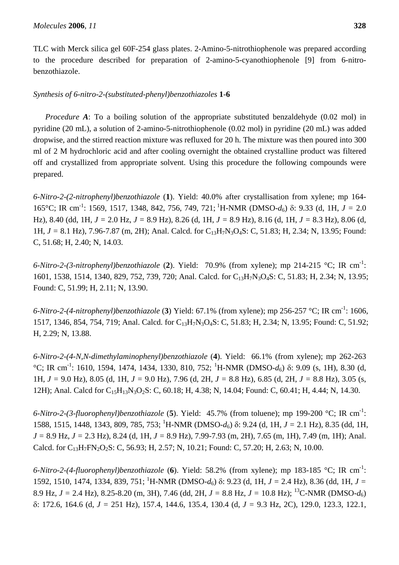TLC with Merck silica gel 60F-254 glass plates. 2-Amino-5-nitrothiophenole was prepared according to the procedure described for preparation of 2-amino-5-cyanothiophenole [9] from 6-nitrobenzothiazole.

## *Synthesis of 6-nitro-2-(substituted-phenyl)benzothiazoles* **1**-**6**

*Procedure A*: To a boiling solution of the appropriate substituted benzaldehyde (0.02 mol) in pyridine (20 mL), a solution of 2-amino-5-nitrothiophenole (0.02 mol) in pyridine (20 mL) was added dropwise, and the stirred reaction mixture was refluxed for 20 h. The mixture was then poured into 300 ml of 2 M hydrochloric acid and after cooling overnight the obtained crystalline product was filtered off and crystallized from appropriate solvent. Using this procedure the following compounds were prepared.

*6-Nitro-2-(2-nitrophenyl)benzothiazole* (**1**). Yield: 40.0% after crystallisation from xylene; mp 164- 165°C; IR cm-1: 1569, 1517, 1348, 842, 756, 749, 721; 1H-NMR (DMSO-*d*6) δ: 9.33 (d, 1H, *J =* 2.0 Hz), 8.40 (dd, 1H, *J =* 2.0 Hz, *J =* 8.9 Hz), 8.26 (d, 1H, *J =* 8.9 Hz), 8.16 (d, 1H, *J =* 8.3 Hz), 8.06 (d, 1H, *J =* 8.1 Hz), 7.96-7.87 (m, 2H); Anal. Calcd. for C13H7N3O4S: C, 51.83; H, 2.34; N, 13.95; Found: C, 51.68; H, 2.40; N, 14.03.

*6-Nitro-2-(3-nitrophenyl)benzothiazole* (**2**). Yield: 70.9% (from xylene); mp 214-215 °C; IR cm-1 : 1601, 1538, 1514, 1340, 829, 752, 739, 720; Anal. Calcd. for C13H7N3O4S: C, 51.83; H, 2.34; N, 13.95; Found: C, 51.99; H, 2.11; N, 13.90.

*6-Nitro-2-(4-nitrophenyl)benzothiazole* (**3**) Yield: 67.1% (from xylene); mp 256-257 °C; IR cm-1: 1606, 1517, 1346, 854, 754, 719; Anal. Calcd. for C<sub>13</sub>H<sub>7</sub>N<sub>3</sub>O<sub>4</sub>S: C, 51.83; H, 2.34; N, 13.95; Found: C, 51.92; H, 2.29; N, 13.88.

*6-Nitro-2-(4-N,N-dimethylaminophenyl)benzothiazole* (**4**). Yield: 66.1% (from xylene); mp 262-263 <sup>o</sup>C; IR cm<sup>-1</sup>: 1610, 1594, 1474, 1434, 1330, 810, 752; <sup>1</sup>H-NMR (DMSO-d<sub>6</sub>) δ: 9.09 (s, 1H), 8.30 (d, 1H, *J =* 9.0 Hz), 8.05 (d, 1H, *J =* 9.0 Hz), 7.96 (d, 2H, *J =* 8.8 Hz), 6.85 (d, 2H, *J =* 8.8 Hz), 3.05 (s, 12H); Anal. Calcd for C<sub>15</sub>H<sub>13</sub>N<sub>3</sub>O<sub>2</sub>S: C, 60.18; H, 4.38; N, 14.04; Found: C, 60.41; H, 4.44; N, 14.30.

*6-Nitro-2-(3-fluorophenyl)benzothiazole* (**5**). Yield: 45.7% (from toluene); mp 199-200 °C; IR cm-1 : 1588, 1515, 1448, 1343, 809, 785, 753; <sup>1</sup> H-NMR (DMSO-*d*6) δ: 9.24 (d, 1H, *J =* 2.1 Hz), 8.35 (dd, 1H, *J =* 8.9 Hz, *J =* 2.3 Hz), 8.24 (d, 1H, *J =* 8.9 Hz), 7.99-7.93 (m, 2H), 7.65 (m, 1H), 7.49 (m, 1H); Anal. Calcd. for C<sub>13</sub>H<sub>7</sub>FN<sub>2</sub>O<sub>2</sub>S: C, 56.93; H, 2.57; N, 10.21; Found: C, 57.20; H, 2.63; N, 10.00.

*6-Nitro-2-(4-fluorophenyl)benzothiazole* (**6**). Yield: 58.2% (from xylene); mp 183-185 °C; IR cm-1 : 1592, 1510, 1474, 1334, 839, 751; <sup>1</sup>H-NMR (DMSO-*d*<sub>6</sub>) δ: 9.23 (d, 1H, *J* = 2.4 Hz), 8.36 (dd, 1H, *J* = 8.9 Hz,  $J = 2.4$  Hz), 8.25-8.20 (m, 3H), 7.46 (dd, 2H,  $J = 8.8$  Hz,  $J = 10.8$  Hz); <sup>13</sup>C-NMR (DMSO- $d_6$ ) δ: 172.6, 164.6 (d, *J =* 251 Hz), 157.4, 144.6, 135.4, 130.4 (d, *J =* 9.3 Hz, 2C), 129.0, 123.3, 122.1,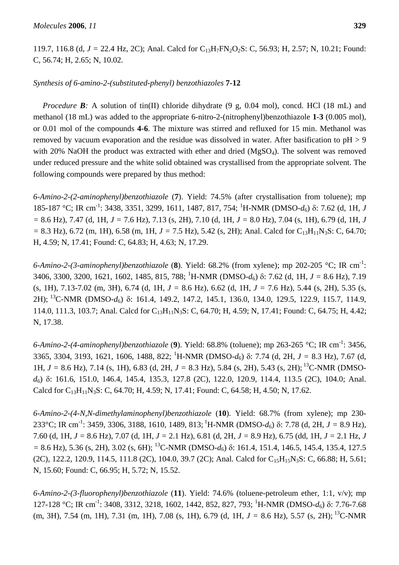119.7, 116.8 (d, *J =* 22.4 Hz, 2C); Anal. Calcd for C13H7FN2O2S: C, 56.93; H, 2.57; N, 10.21; Found: C, 56.74; H, 2.65; N, 10.02.

## *Synthesis of 6-amino-2-(substituted-phenyl) benzothiazoles* **7-12**

*Procedure B*: A solution of tin(II) chloride dihydrate (9 g, 0.04 mol), concd. HCl (18 mL) and methanol (18 mL) was added to the appropriate 6-nitro-2-(nitrophenyl)benzothiazole **1**-**3** (0.005 mol), or 0.01 mol of the compounds **4**-**6**. The mixture was stirred and refluxed for 15 min. Methanol was removed by vacuum evaporation and the residue was dissolved in water. After basification to  $pH > 9$ with 20% NaOH the product was extracted with ether and dried  $(MgSO<sub>4</sub>)$ . The solvent was removed under reduced pressure and the white solid obtained was crystallised from the appropriate solvent. The following compounds were prepared by thus method:

*6-Amino-2-(2-aminophenyl)benzothiazole* (**7**). Yield: 74.5% (after crystallisation from toluene); mp 185-187 °C; IR cm<sup>-1</sup>: 3438, 3351, 3299, 1611, 1487, 817, 754; <sup>1</sup>H-NMR (DMSO-d<sub>6</sub>) δ: 7.62 (d, 1H, *J =* 8.6 Hz), 7.47 (d, 1H, *J =* 7.6 Hz), 7.13 (s, 2H), 7.10 (d, 1H, *J =* 8.0 Hz), 7.04 (s, 1H), 6.79 (d, 1H, *J*   $= 8.3$  Hz), 6.72 (m, 1H), 6.58 (m, 1H,  $J = 7.5$  Hz), 5.42 (s, 2H); Anal. Calcd for C<sub>13</sub>H<sub>11</sub>N<sub>3</sub>S: C, 64.70; H, 4.59; N, 17.41; Found: C, 64.83; H, 4.63; N, 17.29.

*6-Amino-2-(3-aminophenyl)benzothiazole* (**8**). Yield: 68.2% (from xylene); mp 202-205 °C; IR cm-1 : 3406, 3300, 3200, 1621, 1602, 1485, 815, 788; <sup>1</sup> H-NMR (DMSO-*d*6) δ: 7.62 (d, 1H, *J =* 8.6 Hz), 7.19 (s, 1H), 7.13-7.02 (m, 3H), 6.74 (d, 1H, *J =* 8.6 Hz), 6.62 (d, 1H, *J =* 7.6 Hz), 5.44 (s, 2H), 5.35 (s, 2H); 13C-NMR (DMSO-*d*6) δ: 161.4, 149.2, 147.2, 145.1, 136.0, 134.0, 129.5, 122.9, 115.7, 114.9, 114.0, 111.3, 103.7; Anal. Calcd for C<sub>13</sub>H<sub>11</sub>N<sub>3</sub>S: C, 64.70; H, 4.59; N, 17.41; Found: C, 64.75; H, 4.42; N, 17.38.

*6-Amino-2-(4-aminophenyl)benzothiazole* (**9**). Yield: 68.8% (toluene); mp 263-265 °C; IR cm-1: 3456, 3365, 3304, 3193, 1621, 1606, 1488, 822; <sup>1</sup> H-NMR (DMSO-*d*6) δ: 7.74 (d, 2H, *J =* 8.3 Hz), 7.67 (d, 1H, *J =* 8.6 Hz), 7.14 (s, 1H), 6.83 (d, 2H, *J =* 8.3 Hz), 5.84 (s, 2H), 5.43 (s, 2H); 13C-NMR (DMSO*d*6) δ: 161.6, 151.0, 146.4, 145.4, 135.3, 127.8 (2C), 122.0, 120.9, 114.4, 113.5 (2C), 104.0; Anal. Calcd for C<sub>13</sub>H<sub>11</sub>N<sub>3</sub>S: C, 64.70; H, 4.59; N, 17.41; Found: C, 64.58; H, 4.50; N, 17.62.

*6-Amino-2-(4-N,N-dimethylaminophenyl)benzothiazole* (**10**). Yield: 68.7% (from xylene); mp 230- 233°C; IR cm<sup>-1</sup>: 3459, 3306, 3188, 1610, 1489, 813; <sup>1</sup>H-NMR (DMSO- $d_6$ ) δ: 7.78 (d, 2H,  $J = 8.9$  Hz), 7.60 (d, 1H, *J =* 8.6 Hz), 7.07 (d, 1H, *J =* 2.1 Hz), 6.81 (d, 2H, *J =* 8.9 Hz), 6.75 (dd, 1H, *J =* 2.1 Hz, *J =* 8.6 Hz), 5.36 (s, 2H), 3.02 (s, 6H); 13C-NMR (DMSO-*d*6) δ: 161.4, 151.4, 146.5, 145.4, 135.4, 127.5 (2C), 122.2, 120.9, 114.5, 111.8 (2C), 104.0, 39.7 (2C); Anal. Calcd for C<sub>15</sub>H<sub>15</sub>N<sub>3</sub>S: C, 66.88; H, 5.61; N, 15.60; Found: C, 66.95; H, 5.72; N, 15.52.

*6-Amino-2-(3-fluorophenyl)benzothiazole* (**11**). Yield: 74.6% (toluene-petroleum ether, 1:1, v/v); mp 127-128 °C; IR cm<sup>-1</sup>: 3408, 3312, 3218, 1602, 1442, 852, 827, 793; <sup>1</sup>H-NMR (DMSO-d<sub>6</sub>) δ: 7.76-7.68 (m, 3H), 7.54 (m, 1H), 7.31 (m, 1H), 7.08 (s, 1H), 6.79 (d, 1H, *J =* 8.6 Hz), 5.57 (s, 2H); 13C-NMR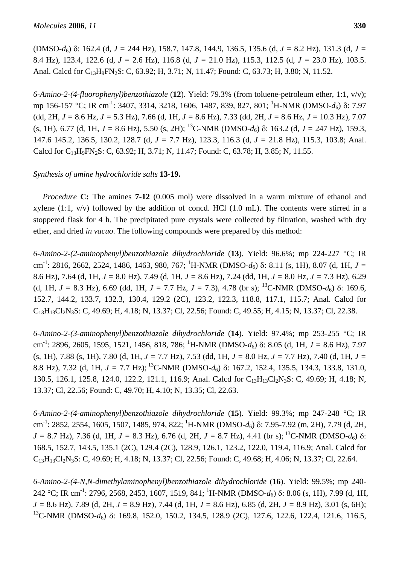(DMSO-*d*6) δ: 162.4 (d, *J =* 244 Hz), 158.7, 147.8, 144.9, 136.5, 135.6 (d, *J =* 8.2 Hz), 131.3 (d, *J =*  8.4 Hz), 123.4, 122.6 (d, *J =* 2.6 Hz), 116.8 (d, *J =* 21.0 Hz), 115.3, 112.5 (d, *J =* 23.0 Hz), 103.5. Anal. Calcd for C<sub>13</sub>H<sub>9</sub>FN<sub>2</sub>S: C, 63.92; H, 3.71; N, 11.47; Found: C, 63.73; H, 3.80; N, 11.52.

*6-Amino-2-(4-fluorophenyl)benzothiazole* (**12**). Yield: 79.3% (from toluene-petroleum ether, 1:1, v/v); mp 156-157 °C; IR cm<sup>-1</sup>: 3407, 3314, 3218, 1606, 1487, 839, 827, 801; <sup>1</sup>H-NMR (DMSO-*d*<sub>6</sub>) δ: 7.97 (dd, 2H, *J =* 8.6 Hz, *J =* 5.3 Hz), 7.66 (d, 1H, *J =* 8.6 Hz), 7.33 (dd, 2H, *J =* 8.6 Hz, *J =* 10.3 Hz), 7.07 (s, 1H), 6.77 (d, 1H,  $J = 8.6$  Hz), 5.50 (s, 2H); <sup>13</sup>C-NMR (DMSO- $d_6$ ) δ: 163.2 (d,  $J = 247$  Hz), 159.3, 147.6 145.2, 136.5, 130.2, 128.7 (d, *J =* 7.7 Hz), 123.3, 116.3 (d, *J =* 21.8 Hz), 115.3, 103.8; Anal. Calcd for C<sub>13</sub>H<sub>9</sub>FN<sub>2</sub>S: C, 63.92; H, 3.71; N, 11.47; Found: C, 63.78; H, 3.85; N, 11.55.

# *Synthesis of amine hydrochloride salts* **13-19.**

*Procedure* **C:** The amines **7**-**12** (0.005 mol) were dissolved in a warm mixture of ethanol and xylene  $(1:1, v/v)$  followed by the addition of concd. HCl  $(1.0 \text{ mL})$ . The contents were stirred in a stoppered flask for 4 h. The precipitated pure crystals were collected by filtration, washed with dry ether, and dried *in vacuo*. The following compounds were prepared by this method:

*6-Amino-2-(2-aminophenyl)benzothiazole dihydrochloride* (**13**). Yield: 96.6%; mp 224-227 °C; IR cm<sup>-1</sup>: 2816, 2662, 2524, 1486, 1463, 980, 767; <sup>1</sup>H-NMR (DMSO-*d*<sub>6</sub>) δ: 8.11 (s, 1H), 8.07 (d, 1H, *J* = 8.6 Hz), 7.64 (d, 1H, *J =* 8.0 Hz), 7.49 (d, 1H, *J =* 8.6 Hz), 7.24 (dd, 1H, *J =* 8.0 Hz, *J =* 7.3 Hz), 6.29 (d, 1H,  $J = 8.3$  Hz), 6.69 (dd, 1H,  $J = 7.7$  Hz,  $J = 7.3$ ), 4.78 (br s); <sup>13</sup>C-NMR (DMSO- $d_6$ ) δ: 169.6, 152.7, 144.2, 133.7, 132.3, 130.4, 129.2 (2C), 123.2, 122.3, 118.8, 117.1, 115.7; Anal. Calcd for C13H13Cl2N3S: C, 49.69; H, 4.18; N, 13.37; Cl, 22.56; Found: C, 49.55; H, 4.15; N, 13.37; Cl, 22.38.

*6-Amino-2-(3-aminophenyl)benzothiazole dihydrochloride* (**14**). Yield: 97.4%; mp 253-255 °C; IR cm -1: 2896, 2605, 1595, 1521, 1456, 818, 786; 1 H-NMR (DMSO-*d*6) δ: 8.05 (d, 1H, *J =* 8.6 Hz), 7.97 (s, 1H), 7.88 (s, 1H), 7.80 (d, 1H, *J =* 7.7 Hz), 7.53 (dd, 1H, *J =* 8.0 Hz, *J =* 7.7 Hz), 7.40 (d, 1H, *J =*  8.8 Hz), 7.32 (d, 1H, *J =* 7.7 Hz); 13C-NMR (DMSO-*d*6) δ: 167.2, 152.4, 135.5, 134.3, 133.8, 131.0, 130.5, 126.1, 125.8, 124.0, 122.2, 121.1, 116.9; Anal. Calcd for C<sub>13</sub>H<sub>13</sub>Cl<sub>2</sub>N<sub>3</sub>S: C, 49.69; H, 4.18; N, 13.37; Cl, 22.56; Found: C, 49.70; H, 4.10; N, 13.35; Cl, 22.63.

*6-Amino-2-(4-aminophenyl)benzothiazole dihydrochloride* (**15**). Yield: 99.3%; mp 247-248 °C; IR cm<sup>-1</sup>: 2852, 2554, 1605, 1507, 1485, 974, 822; <sup>1</sup>H-NMR (DMSO-*d*<sub>6</sub>) δ: 7.95-7.92 (m, 2H), 7.79 (d, 2H, *J* = 8.7 Hz), 7.36 (d, 1H, *J* = 8.3 Hz), 6.76 (d, 2H, *J* = 8.7 Hz), 4.41 (br s); <sup>13</sup>C-NMR (DMSO-*d*<sub>6</sub>) δ: 168.5, 152.7, 143.5, 135.1 (2C), 129.4 (2C), 128.9, 126.1, 123.2, 122.0, 119.4, 116.9; Anal. Calcd for C13H13Cl2N3S: C, 49.69; H, 4.18; N, 13.37; Cl, 22.56; Found: C, 49.68; H, 4.06; N, 13.37; Cl, 22.64.

*6-Amino-2-(4-N,N-dimethylaminophenyl)benzothiazole dihydrochloride* (**16**). Yield: 99.5%; mp 240- 242 °C; IR cm-1: 2796, 2568, 2453, 1607, 1519, 841; 1 H-NMR (DMSO-*d*6) δ: 8.06 (s, 1H), 7.99 (d, 1H, *J =* 8.6 Hz), 7.89 (d, 2H, *J =* 8.9 Hz), 7.44 (d, 1H, *J =* 8.6 Hz), 6.85 (d, 2H, *J =* 8.9 Hz), 3.01 (s, 6H); <sup>13</sup>C-NMR (DMSO-*d*<sub>6</sub>) δ: 169.8, 152.0, 150.2, 134.5, 128.9 (2C), 127.6, 122.6, 122.4, 121.6, 116.5,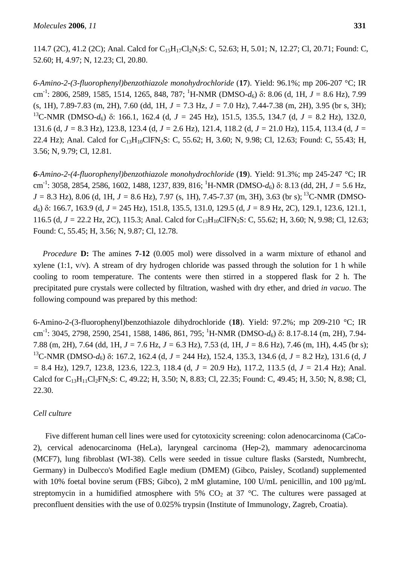*6-Amino-2-(3-fluorophenyl)benzothiazole monohydrochloride* (**17**). Yield: 96.1%; mp 206-207 °C; IR cm -1: 2806, 2589, 1585, 1514, 1265, 848, 787; 1 H-NMR (DMSO-*d*6) δ: 8.06 (d, 1H, *J =* 8.6 Hz), 7.99 (s, 1H), 7.89-7.83 (m, 2H), 7.60 (dd, 1H, *J =* 7.3 Hz, *J =* 7.0 Hz), 7.44-7.38 (m, 2H), 3.95 (br s, 3H); 13C-NMR (DMSO-*d*6) δ: 166.1, 162.4 (d, *J =* 245 Hz), 151.5, 135.5, 134.7 (d, *J =* 8.2 Hz), 132.0, 131.6 (d, *J =* 8.3 Hz), 123.8, 123.4 (d, *J =* 2.6 Hz), 121.4, 118.2 (d, *J =* 21.0 Hz), 115.4, 113.4 (d, *J =*  22.4 Hz); Anal. Calcd for C<sub>13</sub>H<sub>10</sub>ClFN<sub>2</sub>S: C, 55.62; H, 3.60; N, 9.98; Cl, 12.63; Found: C, 55.43; H, 3.56; N, 9.79; Cl, 12.81.

*6-Amino-2-(4-fluorophenyl)benzothiazole monohydrochloride* (**19**). Yield: 91.3%; mp 245-247 °C; IR cm-1: 3058, 2854, 2586, 1602, 1488, 1237, 839, 816; 1 H-NMR (DMSO-*d*6) δ: 8.13 (dd, 2H, *J =* 5.6 Hz,  $J = 8.3$  Hz), 8.06 (d, 1H,  $J = 8.6$  Hz), 7.97 (s, 1H), 7.45-7.37 (m, 3H), 3.63 (br s); <sup>13</sup>C-NMR (DMSO*d*6) δ: 166.7, 163.9 (d, *J =* 245 Hz), 151.8, 135.5, 131.0, 129.5 (d, *J =* 8.9 Hz, 2C), 129.1, 123.6, 121.1, 116.5 (d, *J* = 22.2 Hz, 2C), 115.3; Anal. Calcd for C<sub>13</sub>H<sub>10</sub>ClFN<sub>2</sub>S: C, 55.62; H, 3.60; N, 9.98; Cl, 12.63; Found: C, 55.45; H, 3.56; N, 9.87; Cl, 12.78.

*Procedure* **D:** The amines **7**-**12** (0.005 mol) were dissolved in a warm mixture of ethanol and xylene  $(1:1, v/v)$ . A stream of dry hydrogen chloride was passed through the solution for 1 h while cooling to room temperature. The contents were then stirred in a stoppered flask for 2 h. The precipitated pure crystals were collected by filtration, washed with dry ether, and dried *in vacuo*. The following compound was prepared by this method:

6-Amino-2-(3-fluorophenyl)benzothiazole dihydrochloride (**18**). Yield: 97.2%; mp 209-210 °C; IR cm<sup>-1</sup>: 3045, 2798, 2590, 2541, 1588, 1486, 861, 795; <sup>1</sup>H-NMR (DMSO-*d*<sub>6</sub>) δ: 8.17-8.14 (m, 2H), 7.94-7.88 (m, 2H), 7.64 (dd, 1H, *J =* 7.6 Hz, *J =* 6.3 Hz), 7.53 (d, 1H, *J =* 8.6 Hz), 7.46 (m, 1H), 4.45 (br s); <sup>13</sup>C-NMR (DMSO-*d*<sub>6</sub>) δ: 167.2, 162.4 (d, *J* = 244 Hz), 152.4, 135.3, 134.6 (d, *J* = 8.2 Hz), 131.6 (d, *J =* 8.4 Hz), 129.7, 123.8, 123.6, 122.3, 118.4 (d, *J =* 20.9 Hz), 117.2, 113.5 (d, *J =* 21.4 Hz); Anal. Calcd for C<sub>13</sub>H<sub>11</sub>Cl<sub>2</sub>FN<sub>2</sub>S: C, 49.22; H, 3.50; N, 8.83; Cl, 22.35; Found: C, 49.45; H, 3.50; N, 8.98; Cl, 22.30.

## *Cell culture*

Five different human cell lines were used for cytotoxicity screening: colon adenocarcinoma (CaCo-2), cervical adenocarcinoma (HeLa), laryngeal carcinoma (Hep-2), mammary adenocarcinoma (MCF7), lung fibroblast (WI-38). Cells were seeded in tissue culture flasks (Sarstedt, Numbrecht, Germany) in Dulbecco's Modified Eagle medium (DMEM) (Gibco, Paisley, Scotland) supplemented with 10% foetal bovine serum (FBS; Gibco), 2 mM glutamine, 100 U/mL penicillin, and 100  $\mu$ g/mL streptomycin in a humidified atmosphere with 5%  $CO<sub>2</sub>$  at 37 °C. The cultures were passaged at preconfluent densities with the use of 0.025% trypsin (Institute of Immunology, Zagreb, Croatia).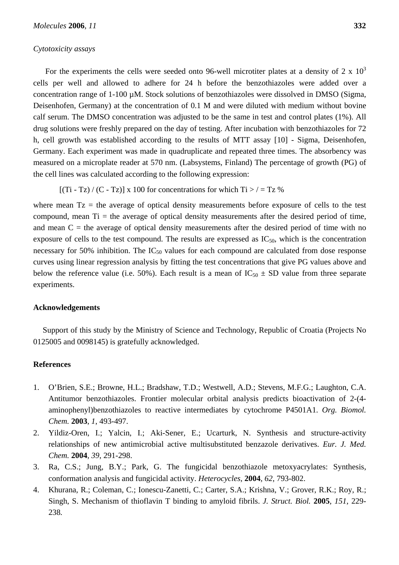#### *Cytotoxicity assays*

For the experiments the cells were seeded onto 96-well microtiter plates at a density of 2 x  $10<sup>3</sup>$ cells per well and allowed to adhere for 24 h before the benzothiazoles were added over a concentration range of 1-100 µM. Stock solutions of benzothiazoles were dissolved in DMSO (Sigma, Deisenhofen, Germany) at the concentration of 0.1 M and were diluted with medium without bovine calf serum. The DMSO concentration was adjusted to be the same in test and control plates (1%). All drug solutions were freshly prepared on the day of testing. After incubation with benzothiazoles for 72 h, cell growth was established according to the results of MTT assay [10] - Sigma, Deisenhofen, Germany. Each experiment was made in quadruplicate and repeated three times. The absorbency was measured on a microplate reader at 570 nm. (Labsystems, Finland) The percentage of growth (PG) of the cell lines was calculated according to the following expression:

 $[(Ti - Tz) / (C - Tz)]$  x 100 for concentrations for which  $Ti > / = Tz$  %

where mean  $Tz$  = the average of optical density measurements before exposure of cells to the test compound, mean  $Ti =$  the average of optical density measurements after the desired period of time, and mean  $C =$  the average of optical density measurements after the desired period of time with no exposure of cells to the test compound. The results are expressed as  $IC_{50}$ , which is the concentration necessary for 50% inhibition. The  $IC_{50}$  values for each compound are calculated from dose response curves using linear regression analysis by fitting the test concentrations that give PG values above and below the reference value (i.e. 50%). Each result is a mean of  $IC_{50} \pm SD$  value from three separate experiments.

### **Acknowledgements**

Support of this study by the Ministry of Science and Technology, Republic of Croatia (Projects No 0125005 and 0098145) is gratefully acknowledged.

## **References**

- 1. O'Brien, S.E.; Browne, H.L.; Bradshaw, T.D.; Westwell, A.D.; Stevens, M.F.G.; Laughton, C.A. Antitumor benzothiazoles. Frontier molecular orbital analysis predicts bioactivation of 2-(4 aminophenyl)benzothiazoles to reactive intermediates by cytochrome P4501A1. *Org. Biomol. Chem.* **2003**, *1*, 493-497.
- 2. Yildiz-Oren, I.; Yalcin, I.; Aki-Sener, E.; Ucarturk, N. Synthesis and structure-activity relationships of new antimicrobial active multisubstituted benzazole derivatives. *Eur. J. Med. Chem.* **2004**, *39*, 291-298.
- 3. Ra, C.S.; Jung, B.Y.; Park, G. The fungicidal benzothiazole metoxyacrylates: Synthesis, conformation analysis and fungicidal activity. *Heterocycles*, **2004**, *62*, 793-802.
- 4. Khurana, R.; Coleman, C.; Ionescu-Zanetti, C.; Carter, S.A.; Krishna, V.; Grover, R.K.; Roy, R.; Singh, S. Mechanism of thioflavin T binding to amyloid fibrils. *J. Struct. Biol.* **2005**, *151*, 229- 238*.*